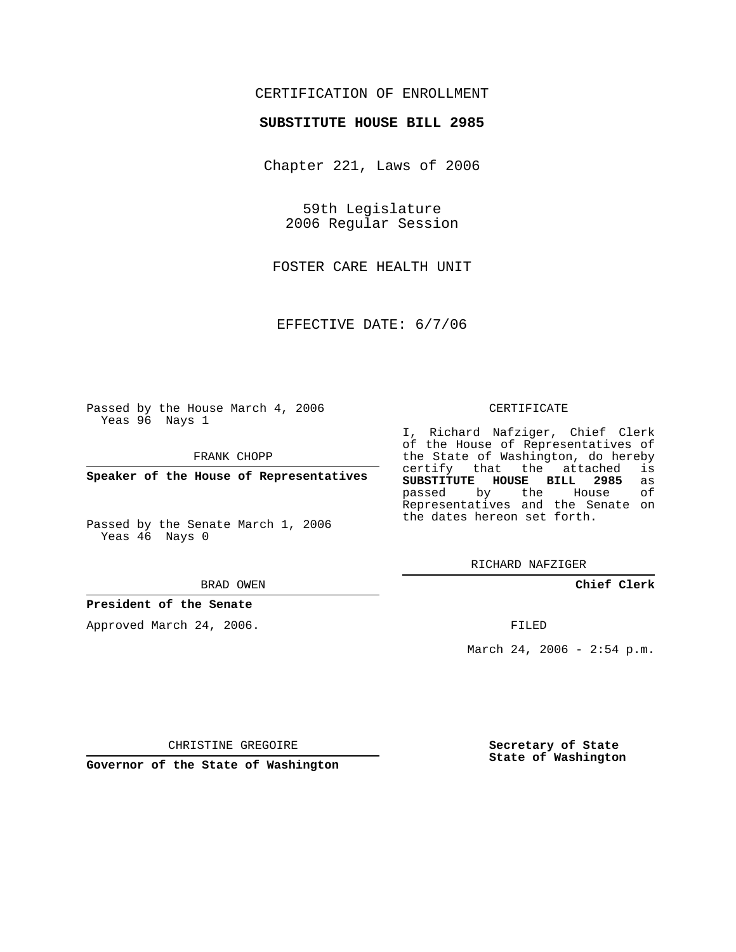## CERTIFICATION OF ENROLLMENT

### **SUBSTITUTE HOUSE BILL 2985**

Chapter 221, Laws of 2006

59th Legislature 2006 Regular Session

FOSTER CARE HEALTH UNIT

EFFECTIVE DATE: 6/7/06

Passed by the House March 4, 2006 Yeas 96 Nays 1

FRANK CHOPP

**Speaker of the House of Representatives**

Passed by the Senate March 1, 2006 Yeas 46 Nays 0

#### BRAD OWEN

## **President of the Senate**

Approved March 24, 2006.

#### CERTIFICATE

I, Richard Nafziger, Chief Clerk of the House of Representatives of the State of Washington, do hereby<br>certify that the attached is certify that the attached **SUBSTITUTE HOUSE BILL 2985** as passed by the House Representatives and the Senate on the dates hereon set forth.

RICHARD NAFZIGER

**Chief Clerk**

FILED

March 24, 2006 - 2:54 p.m.

CHRISTINE GREGOIRE

**Governor of the State of Washington**

**Secretary of State State of Washington**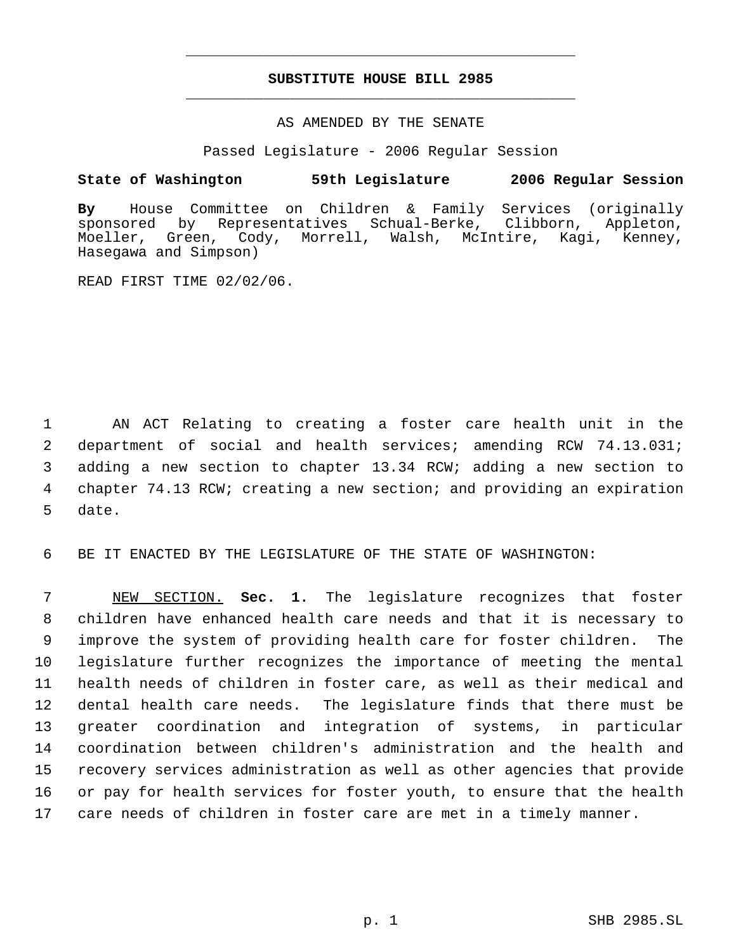# **SUBSTITUTE HOUSE BILL 2985** \_\_\_\_\_\_\_\_\_\_\_\_\_\_\_\_\_\_\_\_\_\_\_\_\_\_\_\_\_\_\_\_\_\_\_\_\_\_\_\_\_\_\_\_\_

\_\_\_\_\_\_\_\_\_\_\_\_\_\_\_\_\_\_\_\_\_\_\_\_\_\_\_\_\_\_\_\_\_\_\_\_\_\_\_\_\_\_\_\_\_

## AS AMENDED BY THE SENATE

Passed Legislature - 2006 Regular Session

## **State of Washington 59th Legislature 2006 Regular Session**

**By** House Committee on Children & Family Services (originally by Representatives Schual-Berke, Clibborn, Appleton,<br>Green, Cody, Morrell, Walsh, McIntire, Kagi, Kenney, Moeller, Green, Cody, Morrell, Walsh, McIntire, Kagi, Kenney, Hasegawa and Simpson)

READ FIRST TIME 02/02/06.

 AN ACT Relating to creating a foster care health unit in the department of social and health services; amending RCW 74.13.031; adding a new section to chapter 13.34 RCW; adding a new section to chapter 74.13 RCW; creating a new section; and providing an expiration 5 date.

6 BE IT ENACTED BY THE LEGISLATURE OF THE STATE OF WASHINGTON:

 NEW SECTION. **Sec. 1.** The legislature recognizes that foster children have enhanced health care needs and that it is necessary to improve the system of providing health care for foster children. The legislature further recognizes the importance of meeting the mental health needs of children in foster care, as well as their medical and dental health care needs. The legislature finds that there must be greater coordination and integration of systems, in particular coordination between children's administration and the health and recovery services administration as well as other agencies that provide or pay for health services for foster youth, to ensure that the health care needs of children in foster care are met in a timely manner.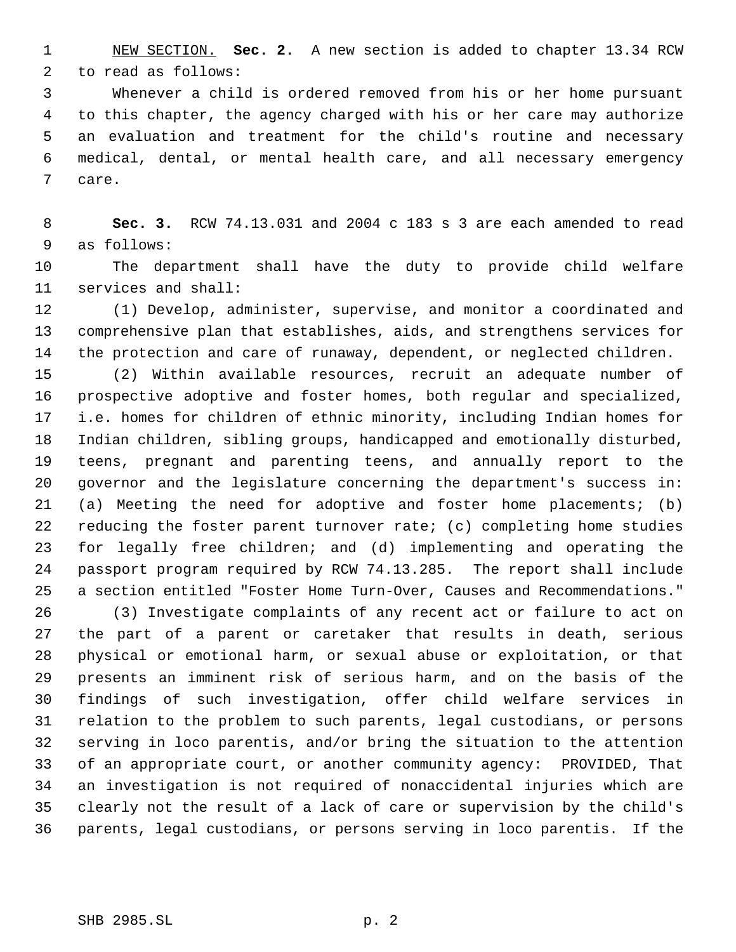NEW SECTION. **Sec. 2.** A new section is added to chapter 13.34 RCW to read as follows:

 Whenever a child is ordered removed from his or her home pursuant to this chapter, the agency charged with his or her care may authorize an evaluation and treatment for the child's routine and necessary medical, dental, or mental health care, and all necessary emergency care.

 **Sec. 3.** RCW 74.13.031 and 2004 c 183 s 3 are each amended to read as follows:

 The department shall have the duty to provide child welfare services and shall:

 (1) Develop, administer, supervise, and monitor a coordinated and comprehensive plan that establishes, aids, and strengthens services for the protection and care of runaway, dependent, or neglected children.

 (2) Within available resources, recruit an adequate number of prospective adoptive and foster homes, both regular and specialized, i.e. homes for children of ethnic minority, including Indian homes for Indian children, sibling groups, handicapped and emotionally disturbed, teens, pregnant and parenting teens, and annually report to the governor and the legislature concerning the department's success in: (a) Meeting the need for adoptive and foster home placements; (b) reducing the foster parent turnover rate; (c) completing home studies for legally free children; and (d) implementing and operating the passport program required by RCW 74.13.285. The report shall include a section entitled "Foster Home Turn-Over, Causes and Recommendations."

 (3) Investigate complaints of any recent act or failure to act on the part of a parent or caretaker that results in death, serious physical or emotional harm, or sexual abuse or exploitation, or that presents an imminent risk of serious harm, and on the basis of the findings of such investigation, offer child welfare services in relation to the problem to such parents, legal custodians, or persons serving in loco parentis, and/or bring the situation to the attention of an appropriate court, or another community agency: PROVIDED, That an investigation is not required of nonaccidental injuries which are clearly not the result of a lack of care or supervision by the child's parents, legal custodians, or persons serving in loco parentis. If the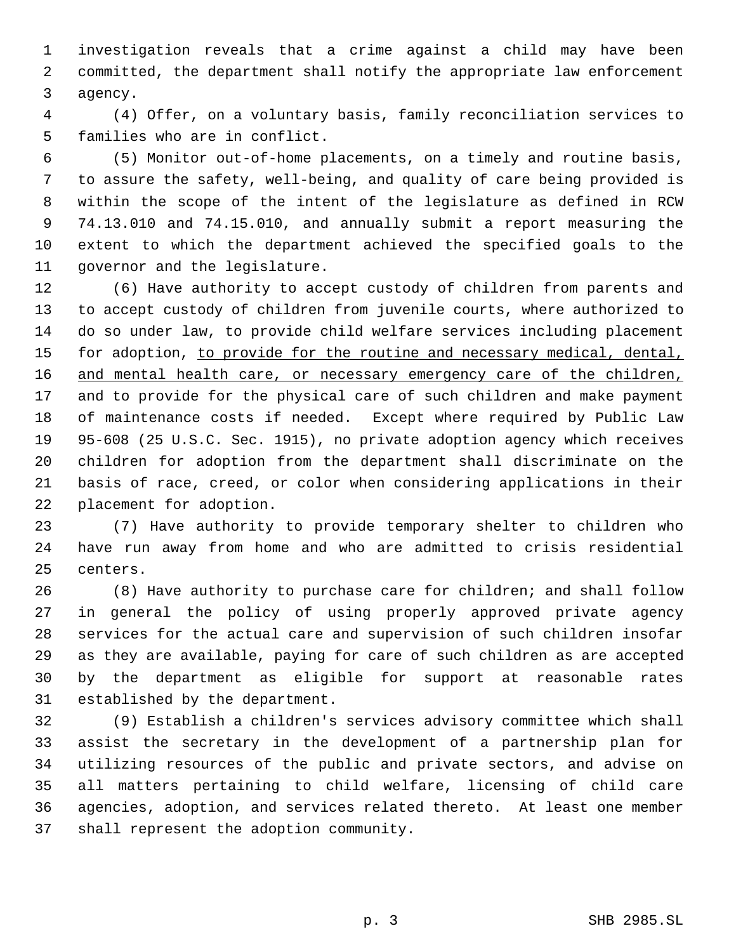investigation reveals that a crime against a child may have been committed, the department shall notify the appropriate law enforcement agency.

 (4) Offer, on a voluntary basis, family reconciliation services to families who are in conflict.

 (5) Monitor out-of-home placements, on a timely and routine basis, to assure the safety, well-being, and quality of care being provided is within the scope of the intent of the legislature as defined in RCW 74.13.010 and 74.15.010, and annually submit a report measuring the extent to which the department achieved the specified goals to the governor and the legislature.

 (6) Have authority to accept custody of children from parents and to accept custody of children from juvenile courts, where authorized to do so under law, to provide child welfare services including placement 15 for adoption, to provide for the routine and necessary medical, dental, 16 and mental health care, or necessary emergency care of the children, and to provide for the physical care of such children and make payment of maintenance costs if needed. Except where required by Public Law 95-608 (25 U.S.C. Sec. 1915), no private adoption agency which receives children for adoption from the department shall discriminate on the basis of race, creed, or color when considering applications in their placement for adoption.

 (7) Have authority to provide temporary shelter to children who have run away from home and who are admitted to crisis residential centers.

 (8) Have authority to purchase care for children; and shall follow in general the policy of using properly approved private agency services for the actual care and supervision of such children insofar as they are available, paying for care of such children as are accepted by the department as eligible for support at reasonable rates established by the department.

 (9) Establish a children's services advisory committee which shall assist the secretary in the development of a partnership plan for utilizing resources of the public and private sectors, and advise on all matters pertaining to child welfare, licensing of child care agencies, adoption, and services related thereto. At least one member shall represent the adoption community.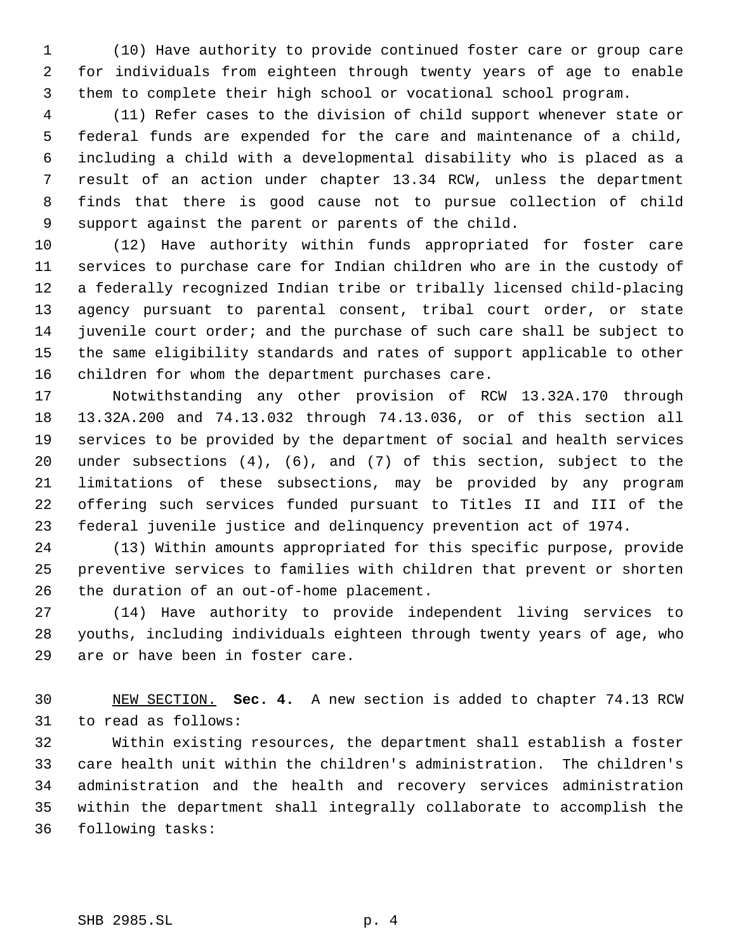(10) Have authority to provide continued foster care or group care for individuals from eighteen through twenty years of age to enable them to complete their high school or vocational school program.

 (11) Refer cases to the division of child support whenever state or federal funds are expended for the care and maintenance of a child, including a child with a developmental disability who is placed as a result of an action under chapter 13.34 RCW, unless the department finds that there is good cause not to pursue collection of child support against the parent or parents of the child.

 (12) Have authority within funds appropriated for foster care services to purchase care for Indian children who are in the custody of a federally recognized Indian tribe or tribally licensed child-placing agency pursuant to parental consent, tribal court order, or state juvenile court order; and the purchase of such care shall be subject to the same eligibility standards and rates of support applicable to other children for whom the department purchases care.

 Notwithstanding any other provision of RCW 13.32A.170 through 13.32A.200 and 74.13.032 through 74.13.036, or of this section all services to be provided by the department of social and health services under subsections (4), (6), and (7) of this section, subject to the limitations of these subsections, may be provided by any program offering such services funded pursuant to Titles II and III of the federal juvenile justice and delinquency prevention act of 1974.

 (13) Within amounts appropriated for this specific purpose, provide preventive services to families with children that prevent or shorten the duration of an out-of-home placement.

 (14) Have authority to provide independent living services to youths, including individuals eighteen through twenty years of age, who are or have been in foster care.

 NEW SECTION. **Sec. 4.** A new section is added to chapter 74.13 RCW to read as follows:

 Within existing resources, the department shall establish a foster care health unit within the children's administration. The children's administration and the health and recovery services administration within the department shall integrally collaborate to accomplish the following tasks: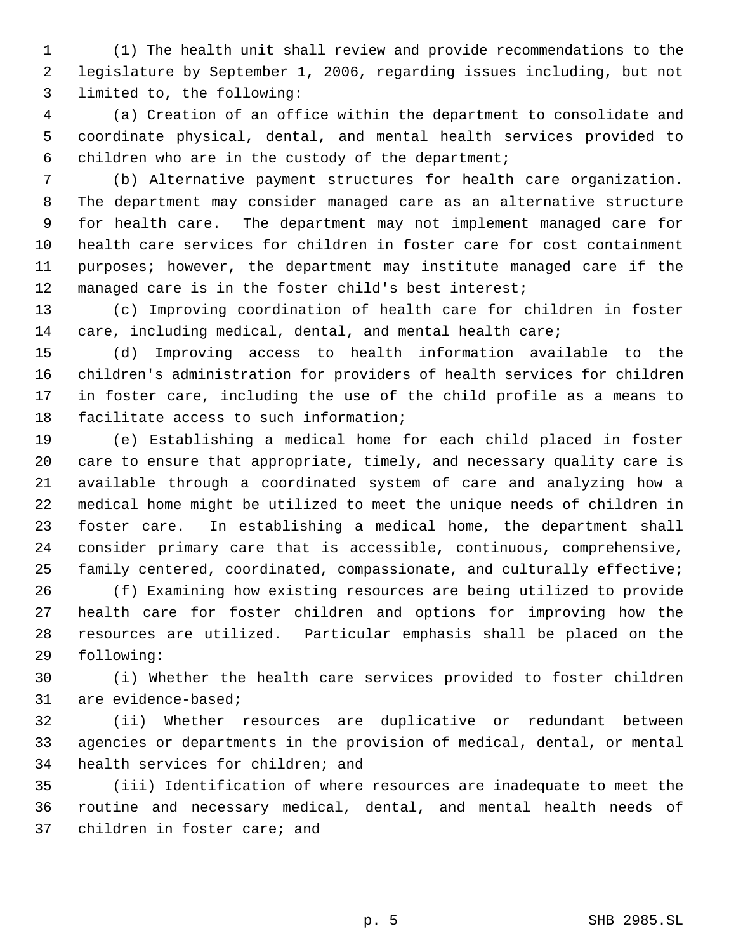(1) The health unit shall review and provide recommendations to the legislature by September 1, 2006, regarding issues including, but not limited to, the following:

 (a) Creation of an office within the department to consolidate and coordinate physical, dental, and mental health services provided to children who are in the custody of the department;

 (b) Alternative payment structures for health care organization. The department may consider managed care as an alternative structure for health care. The department may not implement managed care for health care services for children in foster care for cost containment purposes; however, the department may institute managed care if the managed care is in the foster child's best interest;

 (c) Improving coordination of health care for children in foster care, including medical, dental, and mental health care;

 (d) Improving access to health information available to the children's administration for providers of health services for children in foster care, including the use of the child profile as a means to facilitate access to such information;

 (e) Establishing a medical home for each child placed in foster care to ensure that appropriate, timely, and necessary quality care is available through a coordinated system of care and analyzing how a medical home might be utilized to meet the unique needs of children in foster care. In establishing a medical home, the department shall consider primary care that is accessible, continuous, comprehensive, family centered, coordinated, compassionate, and culturally effective;

 (f) Examining how existing resources are being utilized to provide health care for foster children and options for improving how the resources are utilized. Particular emphasis shall be placed on the following:

 (i) Whether the health care services provided to foster children are evidence-based;

 (ii) Whether resources are duplicative or redundant between agencies or departments in the provision of medical, dental, or mental health services for children; and

 (iii) Identification of where resources are inadequate to meet the routine and necessary medical, dental, and mental health needs of children in foster care; and